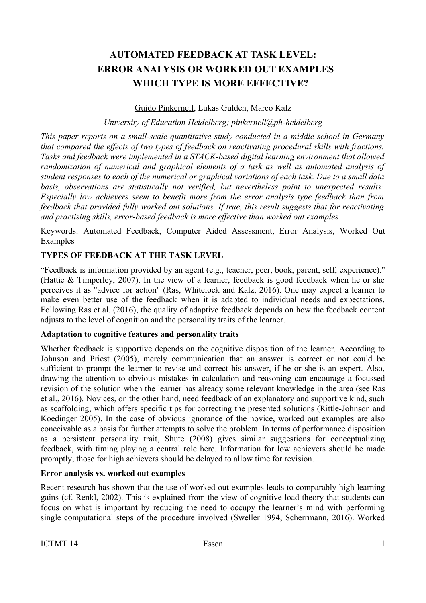## **AUTOMATED FEEDBACK AT TASK LEVEL: ERROR ANALYSIS OR WORKED OUT EXAMPLES – WHICH TYPE IS MORE EFFECTIVE?**

#### Guido Pinkernell, Lukas Gulden, Marco Kalz

#### *University of Education Heidelberg; pinkernell@ph-heidelberg*

*This paper reports on a small-scale quantitative study conducted in a middle school in Germany that compared the effects of two types of feedback on reactivating procedural skills with fractions. Tasks and feedback were implemented in a STACK-based digital learning environment that allowed randomization of numerical and graphical elements of a task as well as automated analysis of student responses to each of the numerical or graphical variations of each task. Due to a small data basis, observations are statistically not verified, but nevertheless point to unexpected results: Especially low achievers seem to benefit more from the error analysis type feedback than from feedback that provided fully worked out solutions. If true, this result suggests that for reactivating and practising skills, error-based feedback is more effective than worked out examples.*

Keywords: Automated Feedback, Computer Aided Assessment, Error Analysis, Worked Out Examples

## **TYPES OF FEEDBACK AT THE TASK LEVEL**

"Feedback is information provided by an agent (e.g., teacher, peer, book, parent, self, experience)." (Hattie & Timperley, 2007). In the view of a learner, feedback is good feedback when he or she perceives it as "advice for action" (Ras, Whitelock and Kalz, 2016). One may expect a learner to make even better use of the feedback when it is adapted to individual needs and expectations. Following Ras et al. (2016), the quality of adaptive feedback depends on how the feedback content adjusts to the level of cognition and the personality traits of the learner.

#### **Adaptation to cognitive features and personality traits**

Whether feedback is supportive depends on the cognitive disposition of the learner. According to Johnson and Priest (2005), merely communication that an answer is correct or not could be sufficient to prompt the learner to revise and correct his answer, if he or she is an expert. Also, drawing the attention to obvious mistakes in calculation and reasoning can encourage a focussed revision of the solution when the learner has already some relevant knowledge in the area (see Ras et al., 2016). Novices, on the other hand, need feedback of an explanatory and supportive kind, such as scaffolding, which offers specific tips for correcting the presented solutions (Rittle-Johnson and Koedinger 2005). In the case of obvious ignorance of the novice, worked out examples are also conceivable as a basis for further attempts to solve the problem. In terms of performance disposition as a persistent personality trait, Shute (2008) gives similar suggestions for conceptualizing feedback, with timing playing a central role here. Information for low achievers should be made promptly, those for high achievers should be delayed to allow time for revision.

#### **Error analysis vs. worked out examples**

Recent research has shown that the use of worked out examples leads to comparably high learning gains (cf. Renkl, 2002). This is explained from the view of cognitive load theory that students can focus on what is important by reducing the need to occupy the learner's mind with performing single computational steps of the procedure involved (Sweller 1994, Scherrmann, 2016). Worked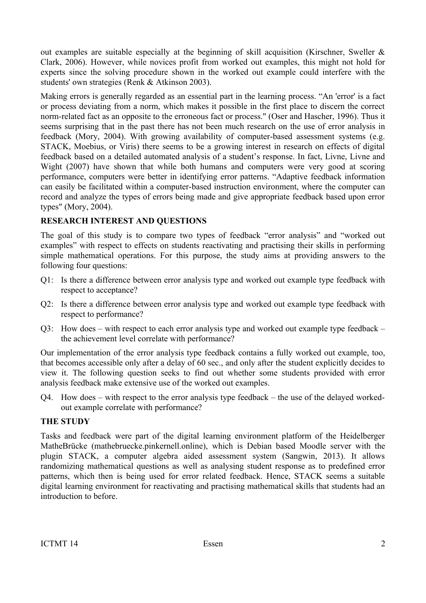out examples are suitable especially at the beginning of skill acquisition (Kirschner, Sweller  $\&$ Clark, 2006). However, while novices profit from worked out examples, this might not hold for experts since the solving procedure shown in the worked out example could interfere with the students' own strategies (Renk & Atkinson 2003).

Making errors is generally regarded as an essential part in the learning process. "An 'error' is a fact or process deviating from a norm, which makes it possible in the first place to discern the correct norm-related fact as an opposite to the erroneous fact or process." (Oser and Hascher, 1996). Thus it seems surprising that in the past there has not been much research on the use of error analysis in feedback (Mory, 2004). With growing availability of computer-based assessment systems (e.g. STACK, Moebius, or Viris) there seems to be a growing interest in research on effects of digital feedback based on a detailed automated analysis of a student's response. In fact, Livne, Livne and Wight (2007) have shown that while both humans and computers were very good at scoring performance, computers were better in identifying error patterns. "Adaptive feedback information can easily be facilitated within a computer-based instruction environment, where the computer can record and analyze the types of errors being made and give appropriate feedback based upon error types" (Mory, 2004).

## **RESEARCH INTEREST AND QUESTIONS**

The goal of this study is to compare two types of feedback "error analysis" and "worked out examples" with respect to effects on students reactivating and practising their skills in performing simple mathematical operations. For this purpose, the study aims at providing answers to the following four questions:

- Q1: Is there a difference between error analysis type and worked out example type feedback with respect to acceptance?
- Q2: Is there a difference between error analysis type and worked out example type feedback with respect to performance?
- Q3: How does with respect to each error analysis type and worked out example type feedback the achievement level correlate with performance?

Our implementation of the error analysis type feedback contains a fully worked out example, too, that becomes accessible only after a delay of 60 sec., and only after the student explicitly decides to view it. The following question seeks to find out whether some students provided with error analysis feedback make extensive use of the worked out examples.

Q4. How does – with respect to the error analysis type feedback – the use of the delayed workedout example correlate with performance?

## **THE STUDY**

Tasks and feedback were part of the digital learning environment platform of the Heidelberger MatheBrücke (mathebruecke.pinkernell.online), which is Debian based Moodle server with the plugin STACK, a computer algebra aided assessment system (Sangwin, 2013). It allows randomizing mathematical questions as well as analysing student response as to predefined error patterns, which then is being used for error related feedback. Hence, STACK seems a suitable digital learning environment for reactivating and practising mathematical skills that students had an introduction to before.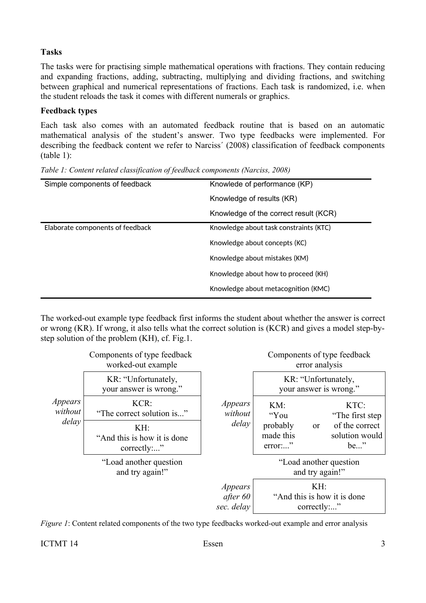## **Tasks**

The tasks were for practising simple mathematical operations with fractions. They contain reducing and expanding fractions, adding, subtracting, multiplying and dividing fractions, and switching between graphical and numerical representations of fractions. Each task is randomized, i.e. when the student reloads the task it comes with different numerals or graphics.

## **Feedback types**

Each task also comes with an automated feedback routine that is based on an automatic mathematical analysis of the student's answer. Two type feedbacks were implemented. For describing the feedback content we refer to Narciss´ (2008) classification of feedback components (table 1):

| Simple components of feedback    | Knowlede of performance (KP)           |
|----------------------------------|----------------------------------------|
|                                  | Knowledge of results (KR)              |
|                                  | Knowledge of the correct result (KCR)  |
| Elaborate components of feedback | Knowledge about task constraints (KTC) |
|                                  | Knowledge about concepts (KC)          |
|                                  | Knowledge about mistakes (KM)          |
|                                  | Knowledge about how to proceed (KH)    |
|                                  | Knowledge about metacognition (KMC)    |

*Table 1: Content related classification of feedback components (Narciss, 2008)*

The worked-out example type feedback first informs the student about whether the answer is correct or wrong (KR). If wrong, it also tells what the correct solution is (KCR) and gives a model step-bystep solution of the problem (KH), cf. Fig.1.



*Figure 1*: Content related components of the two type feedbacks worked-out example and error analysis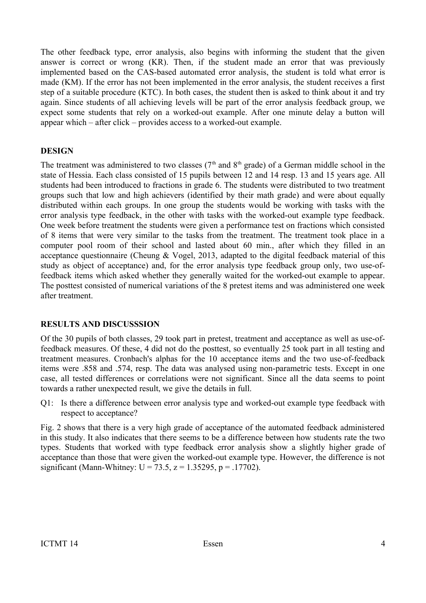The other feedback type, error analysis, also begins with informing the student that the given answer is correct or wrong (KR). Then, if the student made an error that was previously implemented based on the CAS-based automated error analysis, the student is told what error is made (KM). If the error has not been implemented in the error analysis, the student receives a first step of a suitable procedure (KTC). In both cases, the student then is asked to think about it and try again. Since students of all achieving levels will be part of the error analysis feedback group, we expect some students that rely on a worked-out example. After one minute delay a button will appear which – after click – provides access to a worked-out example.

## **DESIGN**

The treatment was administered to two classes ( $7<sup>th</sup>$  and  $8<sup>th</sup>$  grade) of a German middle school in the state of Hessia. Each class consisted of 15 pupils between 12 and 14 resp. 13 and 15 years age. All students had been introduced to fractions in grade 6. The students were distributed to two treatment groups such that low and high achievers (identified by their math grade) and were about equally distributed within each groups. In one group the students would be working with tasks with the error analysis type feedback, in the other with tasks with the worked-out example type feedback. One week before treatment the students were given a performance test on fractions which consisted of 8 items that were very similar to the tasks from the treatment. The treatment took place in a computer pool room of their school and lasted about 60 min., after which they filled in an acceptance questionnaire (Cheung & Vogel, 2013, adapted to the digital feedback material of this study as object of acceptance) and, for the error analysis type feedback group only, two use-offeedback items which asked whether they generally waited for the worked-out example to appear. The posttest consisted of numerical variations of the 8 pretest items and was administered one week after treatment.

## **RESULTS AND DISCUSSSION**

Of the 30 pupils of both classes, 29 took part in pretest, treatment and acceptance as well as use-offeedback measures. Of these, 4 did not do the posttest, so eventually 25 took part in all testing and treatment measures. Cronbach's alphas for the 10 acceptance items and the two use-of-feedback items were .858 and .574, resp. The data was analysed using non-parametric tests. Except in one case, all tested differences or correlations were not significant. Since all the data seems to point towards a rather unexpected result, we give the details in full.

Q1: Is there a difference between error analysis type and worked-out example type feedback with respect to acceptance?

Fig. 2 shows that there is a very high grade of acceptance of the automated feedback administered in this study. It also indicates that there seems to be a difference between how students rate the two types. Students that worked with type feedback error analysis show a slightly higher grade of acceptance than those that were given the worked-out example type. However, the difference is not significant (Mann-Whitney:  $U = 73.5$ ,  $z = 1.35295$ ,  $p = .17702$ ).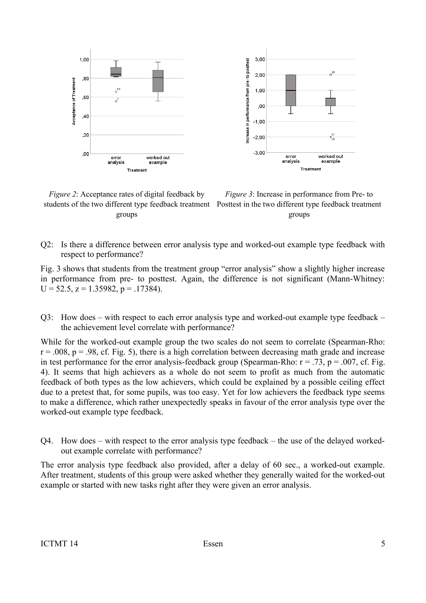

*Figure 2*: Acceptance rates of digital feedback by students of the two different type feedback treatment Posttest in the two different type feedback treatment groups

*Figure 3*: Increase in performance from Pre- to groups

Q2: Is there a difference between error analysis type and worked-out example type feedback with respect to performance?

Fig. 3 shows that students from the treatment group "error analysis" show a slightly higher increase in performance from pre- to posttest. Again, the difference is not significant (Mann-Whitney:  $U = 52.5$ ,  $z = 1.35982$ ,  $p = 0.17384$ .

Q3: How does – with respect to each error analysis type and worked-out example type feedback – the achievement level correlate with performance?

While for the worked-out example group the two scales do not seem to correlate (Spearman-Rho:  $r = 0.008$ ,  $p = 0.98$ , cf. Fig. 5), there is a high correlation between decreasing math grade and increase in test performance for the error analysis-feedback group (Spearman-Rho:  $r = .73$ ,  $p = .007$ , cf. Fig. 4). It seems that high achievers as a whole do not seem to profit as much from the automatic feedback of both types as the low achievers, which could be explained by a possible ceiling effect due to a pretest that, for some pupils, was too easy. Yet for low achievers the feedback type seems to make a difference, which rather unexpectedly speaks in favour of the error analysis type over the worked-out example type feedback.

Q4. How does – with respect to the error analysis type feedback – the use of the delayed workedout example correlate with performance?

The error analysis type feedback also provided, after a delay of 60 sec., a worked-out example. After treatment, students of this group were asked whether they generally waited for the worked-out example or started with new tasks right after they were given an error analysis.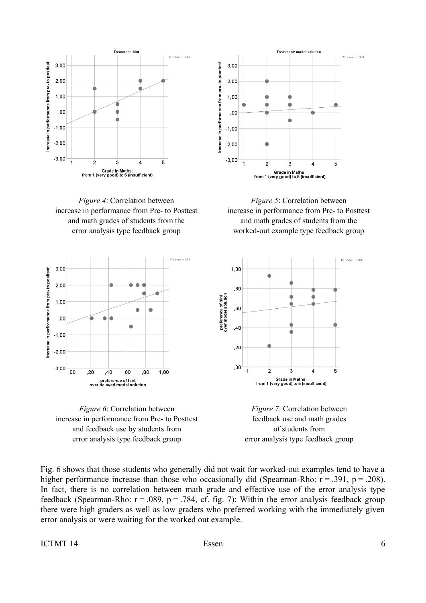









: Grade in Maths<br>from 1 (very good) to 5 (insufficient)

*Figure 5*: Correlation between increase in performance from Pre- to Posttest and math grades of students from the worked-out example type feedback group





Fig. 6 shows that those students who generally did not wait for worked-out examples tend to have a higher performance increase than those who occasionally did (Spearman-Rho:  $r = .391$ ,  $p = .208$ ). In fact, there is no correlation between math grade and effective use of the error analysis type feedback (Spearman-Rho:  $r = .089$ ,  $p = .784$ , cf. fig. 7): Within the error analysis feedback group there were high graders as well as low graders who preferred working with the immediately given error analysis or were waiting for the worked out example.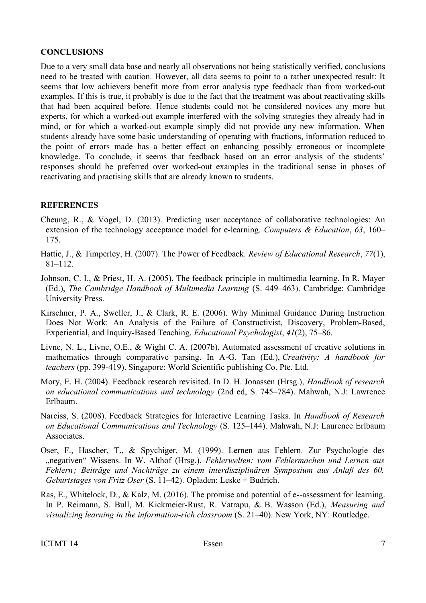### **CONCLUSIONS**

Due to a very small data base and nearly all observations not being statistically verified, conclusions need to be treated with caution. However, all data seems to point to a rather unexpected result: It seems that low achievers benefit more from error analysis type feedback than from worked-out examples. If this is true, it probably is due to the fact that the treatment was about reactivating skills that had been acquired before. Hence students could not be considered novices any more but experts, for which a worked-out example interfered with the solving strategies they already had in mind, or for which a worked-out example simply did not provide any new information. When students already have some basic understanding of operating with fractions, information reduced to the point of errors made has a better effect on enhancing possibly erroneous or incomplete knowledge. To conclude, it seems that feedback based on an error analysis of the students' responses should be preferred over worked-out examples in the traditional sense in phases of reactivating and practising skills that are already known to students.

### **REFERENCES**

- Cheung, R., & Vogel, D. (2013). Predicting user acceptance of collaborative technologies: An extension of the technology acceptance model for e-learning. *Computers & Education*, *63*, 160– 175.
- Hattie, J., & Timperley, H. (2007). The Power of Feedback. *Review of Educational Research*, *77*(1), 81–112.
- Johnson, C. I., & Priest, H. A. (2005). The feedback principle in multimedia learning. In R. Mayer (Ed.), *The Cambridge Handbook of Multimedia Learning* (S. 449–463). Cambridge: Cambridge University Press.
- Kirschner, P. A., Sweller, J., & Clark, R. E. (2006). Why Minimal Guidance During Instruction Does Not Work: An Analysis of the Failure of Constructivist, Discovery, Problem-Based, Experiential, and Inquiry-Based Teaching. *Educational Psychologist*, *41*(2), 75–86.
- Livne, N. L., Livne, O.E., & Wight C. A. (2007b). Automated assessment of creative solutions in mathematics through comparative parsing. In A-G. Tan (Ed.), *Creativity: A handbook for teachers* (pp. 399-419). Singapore: World Scientific publishing Co. Pte. Ltd.
- Mory, E. H. (2004). Feedback research revisited. In D. H. Jonassen (Hrsg.), *Handbook of research on educational communications and technology* (2nd ed, S. 745–784). Mahwah, N.J: Lawrence Erlbaum.
- Narciss, S. (2008). Feedback Strategies for Interactive Learning Tasks. In *Handbook of Research on Educational Communications and Technology* (S. 125–144). Mahwah, N.J: Laurence Erlbaum Associates.
- Oser, F., Hascher, T., & Spychiger, M. (1999). Lernen aus Fehlern. Zur Psychologie des "negativen" Wissens. In W. Althof (Hrsg.), *Fehlerwelten: vom Fehlermachen und Lernen aus Fehlern ; Beiträge und Nachträge zu einem interdisziplinären Symposium aus Anlaß des 60. Geburtstages von Fritz Oser* (S. 11–42). Opladen: Leske + Budrich.
- Ras, E., Whitelock, D., & Kalz, M. (2016). The promise and potential of e--assessment for learning. In P. Reimann, S. Bull, M. Kickmeier-Rust, R. Vatrapu, & B. Wasson (Ed.), *Measuring and visualizing learning in the information-rich classroom* (S. 21–40). New York, NY: Routledge.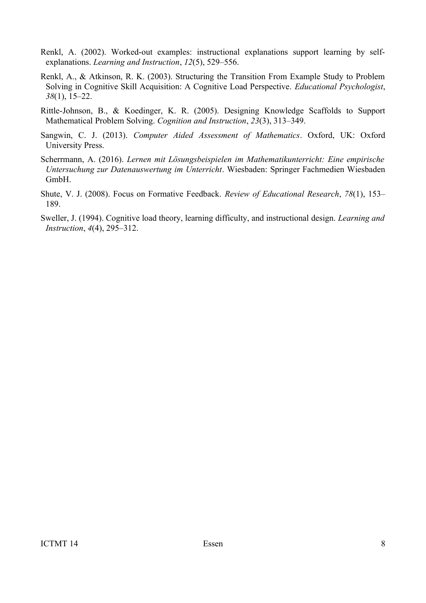- Renkl, A. (2002). Worked-out examples: instructional explanations support learning by selfexplanations. *Learning and Instruction*, *12*(5), 529–556.
- Renkl, A., & Atkinson, R. K. (2003). Structuring the Transition From Example Study to Problem Solving in Cognitive Skill Acquisition: A Cognitive Load Perspective. *Educational Psychologist*, *38*(1), 15–22.
- Rittle-Johnson, B., & Koedinger, K. R. (2005). Designing Knowledge Scaffolds to Support Mathematical Problem Solving. *Cognition and Instruction*, *23*(3), 313–349.
- Sangwin, C. J. (2013). *Computer Aided Assessment of Mathematics*. Oxford, UK: Oxford University Press.
- Scherrmann, A. (2016). *Lernen mit Lösungsbeispielen im Mathematikunterricht: Eine empirische Untersuchung zur Datenauswertung im Unterricht*. Wiesbaden: Springer Fachmedien Wiesbaden GmbH.
- Shute, V. J. (2008). Focus on Formative Feedback. *Review of Educational Research*, *78*(1), 153– 189.
- Sweller, J. (1994). Cognitive load theory, learning difficulty, and instructional design. *Learning and Instruction*, *4*(4), 295–312.